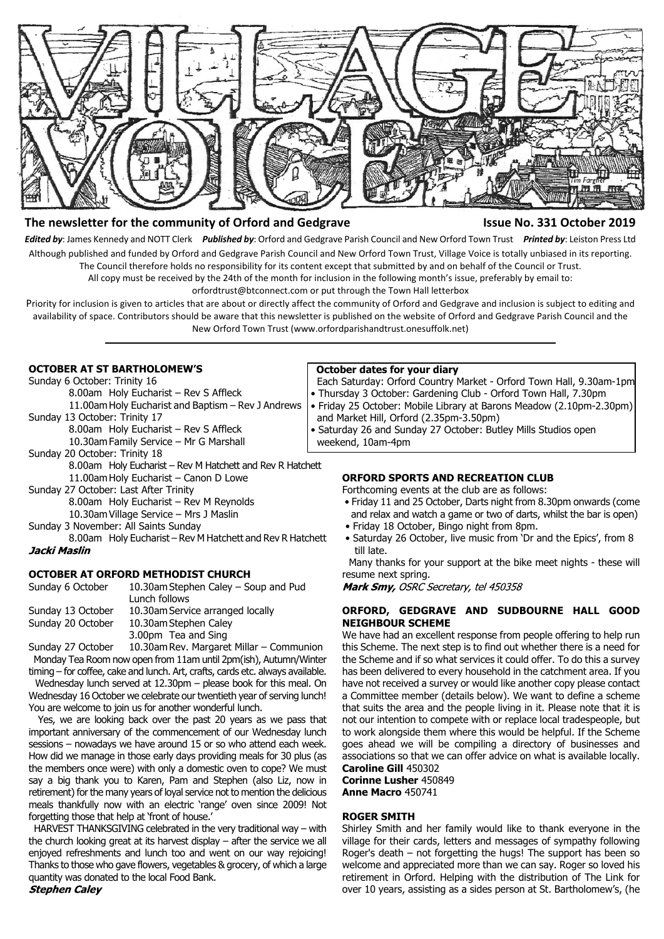

# **The newsletter for the community of Orford and Gedgrave Issue No. 331 October 2019**

*Edited by*: James Kennedy and NOTT Clerk *Published by*: Orford and Gedgrave Parish Council and New Orford Town Trust *Printed by*: Leiston Press Ltd Although published and funded by Orford and Gedgrave Parish Council and New Orford Town Trust, Village Voice is totally unbiased in its reporting. The Council therefore holds no responsibility for its content except that submitted by and on behalf of the Council or Trust.

All copy must be received by the 24th of the month for inclusion in the following month's issue, preferably by email to:

orfordtrust@btconnect.com or put through the Town Hall letterbox

Priority for inclusion is given to articles that are about or directly affect the community of Orford and Gedgrave and inclusion is subject to editing and availability of space. Contributors should be aware that this newsletter is published on the website of Orford and Gedgrave Parish Council and the New Orford Town Trust (www.orfordparishandtrust.onesuffolk.net)

## **OCTOBER AT ST BARTHOLOMEW'S**

Sunday 6 October: Trinity 16

- 8.00am Holy Eucharist Rev S Affleck 11.00am Holy Eucharist and Baptism – Rev J Andrews
- Sunday 13 October: Trinity 17
	- 8.00am Holy Eucharist Rev S Affleck
		- 10.30am Family Service Mr G Marshall
- Sunday 20 October: Trinity 18
	- 8.00am Holy Eucharist Rev M Hatchett and Rev R Hatchett
	- 11.00am Holy Eucharist Canon D Lowe
- Sunday 27 October: Last After Trinity 8.00am Holy Eucharist – Rev M Reynolds 10.30am Village Service – Mrs J Maslin

Sunday 3 November: All Saints Sunday

8.00am Holy Eucharist – Rev M Hatchett and Rev R Hatchett Jacki Maslin

## **OCTOBER AT ORFORD METHODIST CHURCH**

| Sunday 6 October  | 10.30am Stephen Caley – Soup and Pud |
|-------------------|--------------------------------------|
|                   | Lunch follows                        |
| Sunday 13 October | 10.30am Service arranged locally     |
| Sunday 20 October | 10.30am Stephen Caley                |
|                   | 3.00pm Tea and Sing                  |

Sunday 27 October 10.30am Rev. Margaret Millar – Communion Monday Tea Room now open from 11am until 2pm(ish), Autumn/Winter

timing – for coffee, cake and lunch. Art, crafts, cards etc. always available. Wednesday lunch served at 12.30pm – please book for this meal. On Wednesday 16 October we celebrate our twentieth year of serving lunch! You are welcome to join us for another wonderful lunch.

 Yes, we are looking back over the past 20 years as we pass that important anniversary of the commencement of our Wednesday lunch sessions – nowadays we have around 15 or so who attend each week. How did we manage in those early days providing meals for 30 plus (as the members once were) with only a domestic oven to cope? We must say a big thank you to Karen, Pam and Stephen (also Liz, now in retirement) for the many years of loyal service not to mention the delicious meals thankfully now with an electric 'range' oven since 2009! Not forgetting those that help at 'front of house.'

 HARVEST THANKSGIVING celebrated in the very traditional way – with the church looking great at its harvest display – after the service we all enjoyed refreshments and lunch too and went on our way rejoicing! Thanks to those who gave flowers, vegetables & grocery, of which a large quantity was donated to the local Food Bank.

#### **October dates for your diary**

 Each Saturday: Orford Country Market - Orford Town Hall, 9.30am-1pm • Thursday 3 October: Gardening Club - Orford Town Hall, 7.30pm

- Friday 25 October: Mobile Library at Barons Meadow (2.10pm-2.30pm)
- and Market Hill, Orford (2.35pm-3.50pm)
- Saturday 26 and Sunday 27 October: Butley Mills Studios open weekend, 10am-4pm

## **ORFORD SPORTS AND RECREATION CLUB**

Forthcoming events at the club are as follows:

- Friday 11 and 25 October, Darts night from 8.30pm onwards (come and relax and watch a game or two of darts, whilst the bar is open)
- Friday 18 October, Bingo night from 8pm.
- Saturday 26 October, live music from 'Dr and the Epics', from 8 till late.

 Many thanks for your support at the bike meet nights - these will resume next spring.

Mark Smy, OSRC Secretary, tel 450358

## **ORFORD, GEDGRAVE AND SUDBOURNE HALL GOOD NEIGHBOUR SCHEME**

We have had an excellent response from people offering to help run this Scheme. The next step is to find out whether there is a need for the Scheme and if so what services it could offer. To do this a survey has been delivered to every household in the catchment area. If you have not received a survey or would like another copy please contact a Committee member (details below). We want to define a scheme that suits the area and the people living in it. Please note that it is not our intention to compete with or replace local tradespeople, but to work alongside them where this would be helpful. If the Scheme goes ahead we will be compiling a directory of businesses and associations so that we can offer advice on what is available locally. **Caroline Gill** 450302

# **Corinne Lusher** 450849

**Anne Macro** 450741

## **ROGER SMITH**

Shirley Smith and her family would like to thank everyone in the village for their cards, letters and messages of sympathy following Roger's death – not forgetting the hugs! The support has been so welcome and appreciated more than we can say. Roger so loved his retirement in Orford. Helping with the distribution of The Link for over 10 years, assisting as a sides person at St. Bartholomew's, (he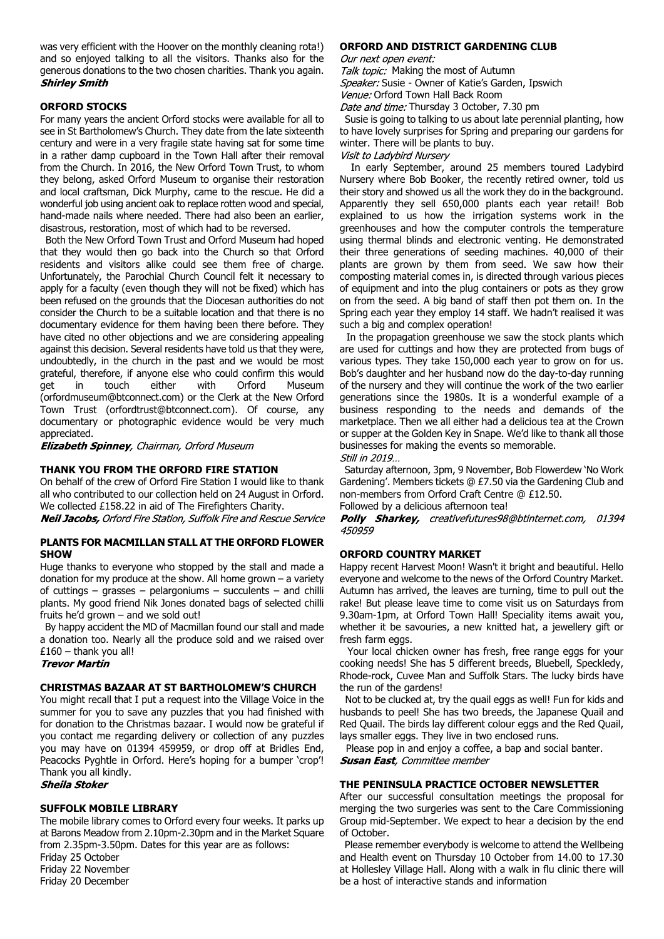was very efficient with the Hoover on the monthly cleaning rota!) and so enjoyed talking to all the visitors. Thanks also for the generous donations to the two chosen charities. Thank you again. **Shirley Smith** 

# **ORFORD STOCKS**

For many years the ancient Orford stocks were available for all to see in St Bartholomew's Church. They date from the late sixteenth century and were in a very fragile state having sat for some time in a rather damp cupboard in the Town Hall after their removal from the Church. In 2016, the New Orford Town Trust, to whom they belong, asked Orford Museum to organise their restoration and local craftsman, Dick Murphy, came to the rescue. He did a wonderful job using ancient oak to replace rotten wood and special, hand-made nails where needed. There had also been an earlier, disastrous, restoration, most of which had to be reversed.

 Both the New Orford Town Trust and Orford Museum had hoped that they would then go back into the Church so that Orford residents and visitors alike could see them free of charge. Unfortunately, the Parochial Church Council felt it necessary to apply for a faculty (even though they will not be fixed) which has been refused on the grounds that the Diocesan authorities do not consider the Church to be a suitable location and that there is no documentary evidence for them having been there before. They have cited no other objections and we are considering appealing against this decision. Several residents have told us that they were, undoubtedly, in the church in the past and we would be most grateful, therefore, if anyone else who could confirm this would get in touch either with Orford Museum (orfordmuseum@btconnect.com) or the Clerk at the New Orford Town Trust (orfordtrust@btconnect.com). Of course, any documentary or photographic evidence would be very much appreciated.

**Elizabeth Spinney**, Chairman, Orford Museum

## **THANK YOU FROM THE ORFORD FIRE STATION**

On behalf of the crew of Orford Fire Station I would like to thank all who contributed to our collection held on 24 August in Orford. We collected £158.22 in aid of The Firefighters Charity.

**Neil Jacobs, Orford Fire Station, Suffolk Fire and Rescue Service** 

## **PLANTS FOR MACMILLAN STALL AT THE ORFORD FLOWER SHOW**

Huge thanks to everyone who stopped by the stall and made a donation for my produce at the show. All home grown – a variety of cuttings – grasses – pelargoniums – succulents – and chilli plants. My good friend Nik Jones donated bags of selected chilli fruits he'd grown – and we sold out!

 By happy accident the MD of Macmillan found our stall and made a donation too. Nearly all the produce sold and we raised over  $£160 -$ thank you all!<br>Trevor Martin

## **CHRISTMAS BAZAAR AT ST BARTHOLOMEW'S CHURCH**

You might recall that I put a request into the Village Voice in the summer for you to save any puzzles that you had finished with for donation to the Christmas bazaar. I would now be grateful if you contact me regarding delivery or collection of any puzzles you may have on 01394 459959, or drop off at Bridles End, Peacocks Pyghtle in Orford. Here's hoping for a bumper 'crop'! Thank you all kindly.

### **Sheila Stoker**

# **SUFFOLK MOBILE LIBRARY**

The mobile library comes to Orford every four weeks. It parks up at Barons Meadow from 2.10pm-2.30pm and in the Market Square from 2.35pm-3.50pm. Dates for this year are as follows: Friday 25 October Friday 22 November

Friday 20 December

#### **ORFORD AND DISTRICT GARDENING CLUB**

Our next open event:

Talk topic: Making the most of Autumn Speaker: Susie - Owner of Katie's Garden, Ipswich Venue: Orford Town Hall Back Room Date and time: Thursday 3 October, 7.30 pm

 Susie is going to talking to us about late perennial planting, how to have lovely surprises for Spring and preparing our gardens for winter. There will be plants to buy.

Visit to Ladybird Nursery

 In early September, around 25 members toured Ladybird Nursery where Bob Booker, the recently retired owner, told us their story and showed us all the work they do in the background. Apparently they sell 650,000 plants each year retail! Bob explained to us how the irrigation systems work in the greenhouses and how the computer controls the temperature using thermal blinds and electronic venting. He demonstrated their three generations of seeding machines. 40,000 of their plants are grown by them from seed. We saw how their composting material comes in, is directed through various pieces of equipment and into the plug containers or pots as they grow on from the seed. A big band of staff then pot them on. In the Spring each year they employ 14 staff. We hadn't realised it was such a big and complex operation!

 In the propagation greenhouse we saw the stock plants which are used for cuttings and how they are protected from bugs of various types. They take 150,000 each year to grow on for us. Bob's daughter and her husband now do the day-to-day running of the nursery and they will continue the work of the two earlier generations since the 1980s. It is a wonderful example of a business responding to the needs and demands of the marketplace. Then we all either had a delicious tea at the Crown or supper at the Golden Key in Snape. We'd like to thank all those businesses for making the events so memorable.<br>Still in 2019...

 Saturday afternoon, 3pm, 9 November, Bob Flowerdew 'No Work Gardening'. Members tickets @ £7.50 via the Gardening Club and non-members from Orford Craft Centre @ £12.50.

Followed by a delicious afternoon tea!

Polly Sharkey, creativefutures98@btinternet.com, 01394 450959

## **ORFORD COUNTRY MARKET**

Happy recent Harvest Moon! Wasn't it bright and beautiful. Hello everyone and welcome to the news of the Orford Country Market. Autumn has arrived, the leaves are turning, time to pull out the rake! But please leave time to come visit us on Saturdays from 9.30am-1pm, at Orford Town Hall! Speciality items await you, whether it be savouries, a new knitted hat, a jewellery gift or fresh farm eggs.

 Your local chicken owner has fresh, free range eggs for your cooking needs! She has 5 different breeds, Bluebell, Speckledy, Rhode-rock, Cuvee Man and Suffolk Stars. The lucky birds have the run of the gardens!

 Not to be clucked at, try the quail eggs as well! Fun for kids and husbands to peel! She has two breeds, the Japanese Quail and Red Quail. The birds lay different colour eggs and the Red Quail, lays smaller eggs. They live in two enclosed runs.

 Please pop in and enjoy a coffee, a bap and social banter. **Susan East**, Committee member

#### **THE PENINSULA PRACTICE OCTOBER NEWSLETTER**

After our successful consultation meetings the proposal for merging the two surgeries was sent to the Care Commissioning Group mid-September. We expect to hear a decision by the end of October.

 Please remember everybody is welcome to attend the Wellbeing and Health event on Thursday 10 October from 14.00 to 17.30 at Hollesley Village Hall. Along with a walk in flu clinic there will be a host of interactive stands and information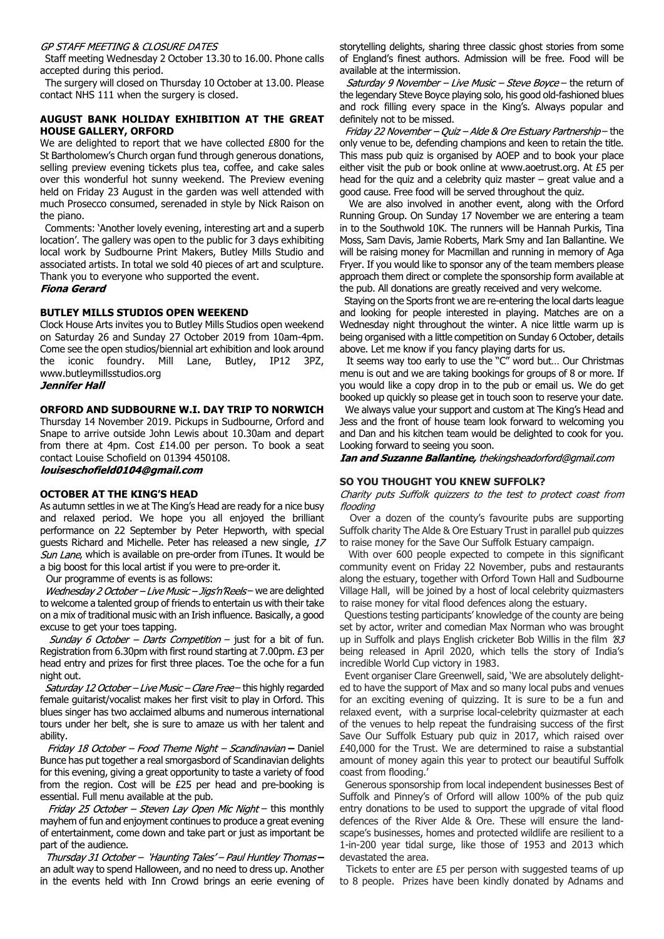#### GP STAFF MEETING & CLOSURE DATES

 Staff meeting Wednesday 2 October 13.30 to 16.00. Phone calls accepted during this period.

 The surgery will closed on Thursday 10 October at 13.00. Please contact NHS 111 when the surgery is closed.

## **AUGUST BANK HOLIDAY EXHIBITION AT THE GREAT HOUSE GALLERY, ORFORD**

We are delighted to report that we have collected £800 for the St Bartholomew's Church organ fund through generous donations, selling preview evening tickets plus tea, coffee, and cake sales over this wonderful hot sunny weekend. The Preview evening held on Friday 23 August in the garden was well attended with much Prosecco consumed, serenaded in style by Nick Raison on the piano.

 Comments: 'Another lovely evening, interesting art and a superb location'. The gallery was open to the public for 3 days exhibiting local work by Sudbourne Print Makers, Butley Mills Studio and associated artists. In total we sold 40 pieces of art and sculpture. Thank you to everyone who supported the event.

**Fiona Gerard** 

## **BUTLEY MILLS STUDIOS OPEN WEEKEND**

Clock House Arts invites you to Butley Mills Studios open weekend on Saturday 26 and Sunday 27 October 2019 from 10am-4pm. Come see the open studios/biennial art exhibition and look around the iconic foundry. Mill Lane, Butley, IP12 3PZ, www.butleymillsstudios.org

#### **Jennifer Hall**

## **ORFORD AND SUDBOURNE W.I. DAY TRIP TO NORWICH**

Thursday 14 November 2019. Pickups in Sudbourne, Orford and Snape to arrive outside John Lewis about 10.30am and depart from there at 4pm. Cost £14.00 per person. To book a seat contact Louise Schofield on 01394 450108.

louiseschofield0104@gmail.com

## **OCTOBER AT THE KING'S HEAD**

As autumn settles in we at The King's Head are ready for a nice busy and relaxed period. We hope you all enjoyed the brilliant performance on 22 September by Peter Hepworth, with special guests Richard and Michelle. Peter has released a new single, 17 Sun Lane, which is available on pre-order from iTunes. It would be a big boost for this local artist if you were to pre-order it.

Our programme of events is as follows:

Wednesday 2 October - Live Music - Jigs'n'Reels- we are delighted to welcome a talented group of friends to entertain us with their take on a mix of traditional music with an Irish influence. Basically, a good excuse to get your toes tapping.

Sunday 6 October - Darts Competition - just for a bit of fun. Registration from 6.30pm with first round starting at 7.00pm. £3 per head entry and prizes for first three places. Toe the oche for a fun night out.

Saturday 12 October - Live Music - Clare Free - this highly regarded female guitarist/vocalist makes her first visit to play in Orford. This blues singer has two acclaimed albums and numerous international tours under her belt, she is sure to amaze us with her talent and ability.

Friday 18 October - Food Theme Night - Scandinavian - Daniel Bunce has put together a real smorgasbord of Scandinavian delights for this evening, giving a great opportunity to taste a variety of food from the region. Cost will be £25 per head and pre-booking is essential. Full menu available at the pub.

Friday 25 October - Steven Lay Open Mic Night - this monthly mayhem of fun and enjoyment continues to produce a great evening of entertainment, come down and take part or just as important be part of the audience.

Thursday 31 October - 'Haunting Tales' - Paul Huntley Thomasan adult way to spend Halloween, and no need to dress up. Another in the events held with Inn Crowd brings an eerie evening of storytelling delights, sharing three classic ghost stories from some of England's finest authors. Admission will be free. Food will be available at the intermission.

Saturday 9 November - Live Music - Steve Boyce - the return of the legendary Steve Boyce playing solo, his good old-fashioned blues and rock filling every space in the King's. Always popular and definitely not to be missed.

Friday 22 November - Ouiz - Alde & Ore Estuary Partnership-the only venue to be, defending champions and keen to retain the title. This mass pub quiz is organised by AOEP and to book your place either visit the pub or book online at www.aoetrust.org. At £5 per head for the quiz and a celebrity quiz master – great value and a good cause. Free food will be served throughout the quiz.

 We are also involved in another event, along with the Orford Running Group. On Sunday 17 November we are entering a team in to the Southwold 10K. The runners will be Hannah Purkis, Tina Moss, Sam Davis, Jamie Roberts, Mark Smy and Ian Ballantine. We will be raising money for Macmillan and running in memory of Aga Fryer. If you would like to sponsor any of the team members please approach them direct or complete the sponsorship form available at the pub. All donations are greatly received and very welcome.

 Staying on the Sports front we are re-entering the local darts league and looking for people interested in playing. Matches are on a Wednesday night throughout the winter. A nice little warm up is being organised with a little competition on Sunday 6 October, details above. Let me know if you fancy playing darts for us.

 It seems way too early to use the "C" word but… Our Christmas menu is out and we are taking bookings for groups of 8 or more. If you would like a copy drop in to the pub or email us. We do get booked up quickly so please get in touch soon to reserve your date.

 We always value your support and custom at The King's Head and Jess and the front of house team look forward to welcoming you and Dan and his kitchen team would be delighted to cook for you. Looking forward to seeing you soon.

Ian and Suzanne Ballantine, thekingsheadorford@gmail.com

## **SO YOU THOUGHT YOU KNEW SUFFOLK?**

Charity puts Suffolk quizzers to the test to protect coast from flooding

 Over a dozen of the county's favourite pubs are supporting Suffolk charity The Alde & Ore Estuary Trust in parallel pub quizzes to raise money for the Save Our Suffolk Estuary campaign.

 With over 600 people expected to compete in this significant community event on Friday 22 November, pubs and restaurants along the estuary, together with Orford Town Hall and Sudbourne Village Hall, will be joined by a host of local celebrity quizmasters to raise money for vital flood defences along the estuary.

 Questions testing participants' knowledge of the county are being set by actor, writer and comedian Max Norman who was brought up in Suffolk and plays English cricketer Bob Willis in the film 83 being released in April 2020, which tells the story of India's incredible World Cup victory in 1983.

 Event organiser Clare Greenwell, said, 'We are absolutely delighted to have the support of Max and so many local pubs and venues for an exciting evening of quizzing. It is sure to be a fun and relaxed event, with a surprise local-celebrity quizmaster at each of the venues to help repeat the fundraising success of the first Save Our Suffolk Estuary pub quiz in 2017, which raised over £40,000 for the Trust. We are determined to raise a substantial amount of money again this year to protect our beautiful Suffolk coast from flooding.'

 Generous sponsorship from local independent businesses Best of Suffolk and Pinney's of Orford will allow 100% of the pub quiz entry donations to be used to support the upgrade of vital flood defences of the River Alde & Ore. These will ensure the landscape's businesses, homes and protected wildlife are resilient to a 1-in-200 year tidal surge, like those of 1953 and 2013 which devastated the area.

 Tickets to enter are £5 per person with suggested teams of up to 8 people. Prizes have been kindly donated by Adnams and